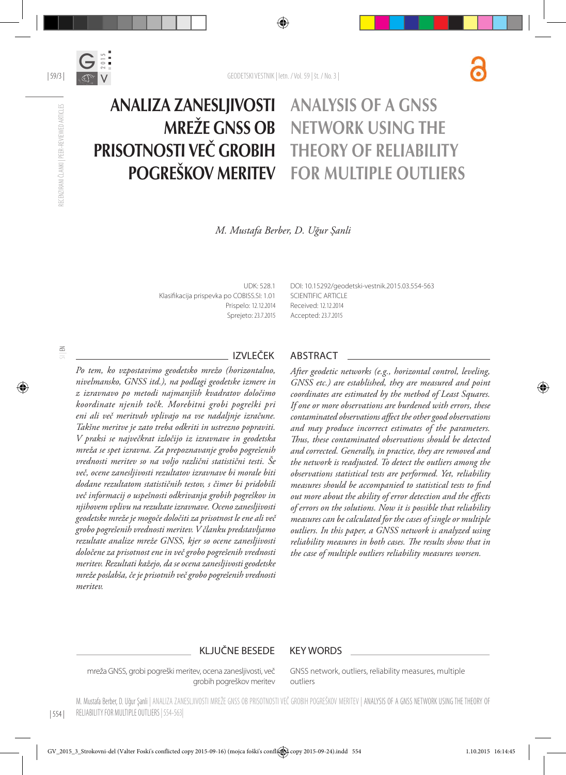

#### Analiza zanesljivosti mreže GNSS ob prisotnosti več grobih pogreškov meritev Analysis of a GNSS network using the theory of reliability for multiple outliers

*M. Mustafa Berber, D. Uğur Şanli*

UDK: 528.1 Klasifikacija prispevka po COBISS.SI: 1.01 Prispelo: 12.12.2014 Sprejeto: 23.7.2015 DOI: 10.15292/geodetski-vestnik.2015.03.554-563 SCIENTIFIC ARTICLE Received: 12.12.2014 Accepted: 23.7.2015

*Po tem, ko vzpostavimo geodetsko mrežo (horizontalno, nivelmansko, GNSS itd.), na podlagi geodetske izmere in z izravnavo po metodi najmanjših kvadratov določimo koordinate njenih točk. Morebitni grobi pogreški pri eni ali več meritvah vplivajo na vse nadaljnje izračune. Takšne meritve je zato treba odkriti in ustrezno popraviti. V praksi se največkrat izločijo iz izravnave in geodetska mreža se spet izravna. Za prepoznavanje grobo pogrešenih vrednosti meritev so na voljo različni statistični testi. Še več, ocene zanesljivosti rezultatov izravnave bi morale biti dodane rezultatom statističnih testov, s čimer bi pridobili več informacij o uspešnosti odkrivanja grobih pogreškov in njihovem vplivu na rezultate izravnave. Oceno zanesljivosti geodetske mreže je mogoče določiti za prisotnost le ene ali več grobo pogrešenih vrednosti meritev. V članku predstavljamo rezultate analize mreže GNSS, kjer so ocene zanesljivosti določene za prisotnost ene in več grobo pogrešenih vrednosti meritev. Rezultati kažejo, da se ocena zanesljivosti geodetske mreže poslabša, če je prisotnih več grobo pogrešenih vrednosti meritev.*

## IZVLEČEK ABSTRACT

*After geodetic networks (e.g., horizontal control, leveling, GNSS etc.) are established, they are measured and point coordinates are estimated by the method of Least Squares. If one or more observations are burdened with errors, these contaminated observations affect the other good observations and may produce incorrect estimates of the parameters. Thus, these contaminated observations should be detected and corrected. Generally, in practice, they are removed and the network is readjusted. To detect the outliers among the observations statistical tests are performed. Yet, reliability measures should be accompanied to statistical tests to find out more about the ability of error detection and the effects of errors on the solutions. Now it is possible that reliability measures can be calculated for the cases of single or multiple outliers. In this paper, a GNSS network is analyzed using reliability measures in both cases. The results show that in the case of multiple outliers reliability measures worsen.*

#### KLJUČNE BESEDE KEY WORDS

mreža GNSS, grobi pogreški meritev, ocena zanesljivosti, več grobih pogreškov meritev GNSS network, outliers, reliability measures, multiple outliers

| 554 | M. Mustafa Berber, D. Uğur Şanli | Analiza zanesljivosti mreže GNSS ob prisotnosti več grobih pogreškov meritev | Analysis of a GNSS network using the theory of RELIABILITY FOR MULTIPLE OUTLIERS | 554-563|

RECENZIRANI ČLANKI | PEER-REVIEWED ARTICLES

RECENZIRANI ČLANKI | PEER-REVIEWED ARTICLES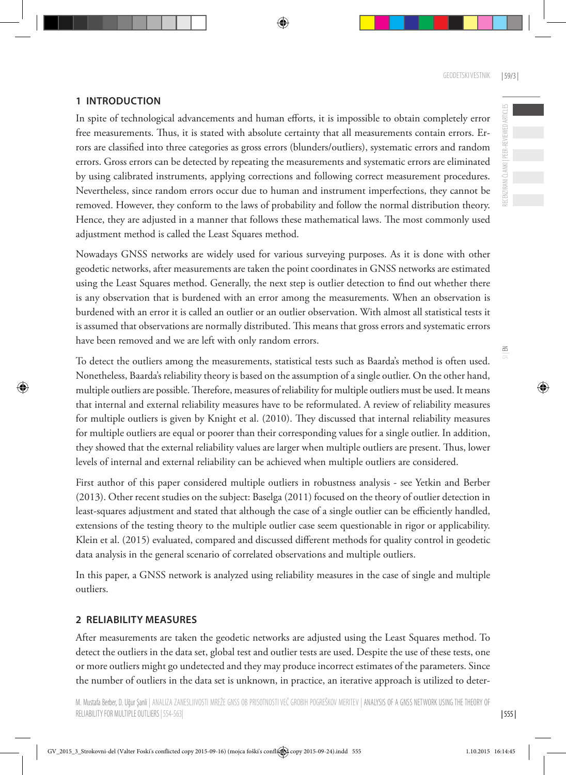RECENZIRANI ČLANKI | PEER-REVIEWED ARTICLES

RECENZIRANI ČLANKI | PEER-REVIEWED ARTICLES

 $\leq$ 

## **1 Introduction**

In spite of technological advancements and human efforts, it is impossible to obtain completely error free measurements. Thus, it is stated with absolute certainty that all measurements contain errors. Errors are classified into three categories as gross errors (blunders/outliers), systematic errors and random errors. Gross errors can be detected by repeating the measurements and systematic errors are eliminated by using calibrated instruments, applying corrections and following correct measurement procedures. Nevertheless, since random errors occur due to human and instrument imperfections, they cannot be removed. However, they conform to the laws of probability and follow the normal distribution theory. Hence, they are adjusted in a manner that follows these mathematical laws. The most commonly used adjustment method is called the Least Squares method.

Nowadays GNSS networks are widely used for various surveying purposes. As it is done with other geodetic networks, after measurements are taken the point coordinates in GNSS networks are estimated using the Least Squares method. Generally, the next step is outlier detection to find out whether there is any observation that is burdened with an error among the measurements. When an observation is burdened with an error it is called an outlier or an outlier observation. With almost all statistical tests it is assumed that observations are normally distributed. This means that gross errors and systematic errors have been removed and we are left with only random errors.

To detect the outliers among the measurements, statistical tests such as Baarda's method is often used. Nonetheless, Baarda's reliability theory is based on the assumption of a single outlier. On the other hand, multiple outliers are possible. Therefore, measures of reliability for multiple outliers must be used. It means that internal and external reliability measures have to be reformulated. A review of reliability measures for multiple outliers is given by Knight et al. (2010). They discussed that internal reliability measures for multiple outliers are equal or poorer than their corresponding values for a single outlier. In addition, they showed that the external reliability values are larger when multiple outliers are present. Thus, lower levels of internal and external reliability can be achieved when multiple outliers are considered.

First author of this paper considered multiple outliers in robustness analysis - see Yetkin and Berber (2013). Other recent studies on the subject: Baselga (2011) focused on the theory of outlier detection in least-squares adjustment and stated that although the case of a single outlier can be efficiently handled, extensions of the testing theory to the multiple outlier case seem questionable in rigor or applicability. Klein et al. (2015) evaluated, compared and discussed different methods for quality control in geodetic data analysis in the general scenario of correlated observations and multiple outliers.

In this paper, a GNSS network is analyzed using reliability measures in the case of single and multiple outliers.

## **2 Reliability measures**

After measurements are taken the geodetic networks are adjusted using the Least Squares method. To detect the outliers in the data set, global test and outlier tests are used. Despite the use of these tests, one or more outliers might go undetected and they may produce incorrect estimates of the parameters. Since the number of outliers in the data set is unknown, in practice, an iterative approach is utilized to deter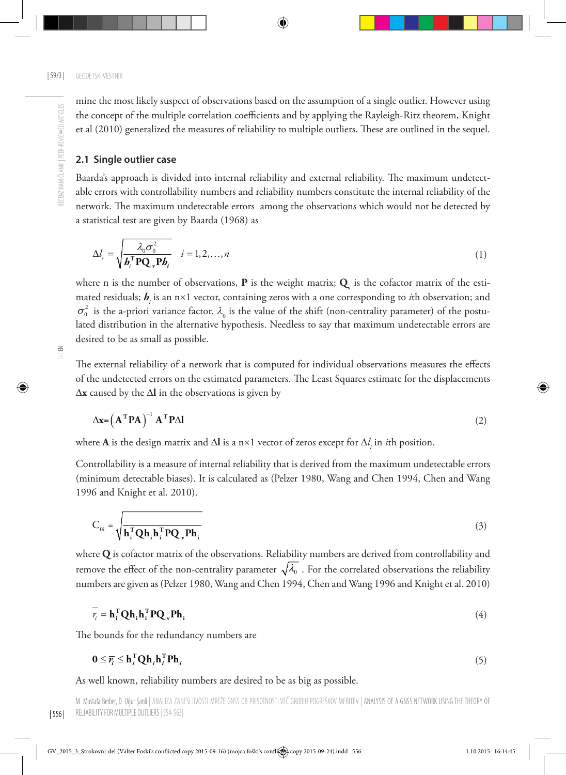mine the most likely suspect of observations based on the assumption of a single outlier. However using the concept of the multiple correlation coefficients and by applying the Rayleigh-Ritz theorem, Knight et al (2010) generalized the measures of reliability to multiple outliers. These are outlined in the sequel.

#### **2.1 Single outlier case**

Baarda's approach is divided into internal reliability and external reliability. The maximum undetectable errors with controllability numbers and reliability numbers constitute the internal reliability of the network. The maximum undetectable errors among the observations which would not be detected by a statistical test are given by Baarda (1968) as

$$
\Delta l_i = \sqrt{\frac{\lambda_0 \sigma_0^2}{\boldsymbol{b}_i^{\mathrm{T}} \mathbf{P} \mathbf{Q}_v \mathbf{P} \boldsymbol{b}_i}} \quad i = 1, 2, ..., n
$$
\n(1)

where n is the number of observations,  ${\bf P}$  is the weight matrix;  ${\bf Q}_{\!\!_{\rm v}}$  is the cofactor matrix of the estimated residuals;  $b_i$  is an n×1 vector, containing zeros with a one corresponding to *i*th observation; and mated residuals;  $b_i$  is an n×1 vector, containing zeros with a one corresponding to *i*th observation; and  $\sigma_0^2$  is the a-priori variance factor.  $\lambda_0$  is the value of the shift (non-centrality parameter) of the post lated distribution in the alternative hypothesis. Needless to say that maximum undetectable errors are desired to be as small as possible.

The external reliability of a network that is computed for individual observations measures the effects of the undetected errors on the estimated parameters. The Least Squares estimate for the displacements ∆**x** caused by the ∆**l** in the observations is given by

$$
\Delta \mathbf{x} = \left( \mathbf{A}^{\mathrm{T}} \mathbf{P} \mathbf{A} \right)^{-1} \mathbf{A}^{\mathrm{T}} \mathbf{P} \Delta \mathbf{l}
$$
 (2)

where **A** is the design matrix and ∆**l** is a n×1 vector of zeros except for ∆*l i* in *i*th position.

Controllability is a measure of internal reliability that is derived from the maximum undetectable errors (minimum detectable biases). It is calculated as (Pelzer 1980, Wang and Chen 1994, Chen and Wang 1996 and Knight et al. 2010).

$$
C_{0i} = \sqrt{\mathbf{h}_i^{\mathrm{T}} \mathbf{Q} \mathbf{h}_i \mathbf{h}_i^{\mathrm{T}} \mathbf{P} \mathbf{Q}_v \mathbf{P} \mathbf{h}_i}}
$$
(3)

where **Q** is cofactor matrix of the observations. Reliability numbers are derived from controllability and remove the effect of the non-centrality parameter  $\sqrt{\lambda_0}$ . For the correlated observations the reliability numbers are given as (Pelzer 1980, Wang and Chen 1994, Chen and Wang 1996 and Knight et al. 2010)

$$
\overline{r_i} = \mathbf{h_i}^{\mathrm{T}} \mathbf{Q} \mathbf{h_i} \mathbf{h_i}^{\mathrm{T}} \mathbf{P} \mathbf{Q_v} \mathbf{P} \mathbf{h_i}
$$
 (4)

The bounds for the redundancy numbers are

$$
\mathbf{0} \leq \overline{r_i} \leq \mathbf{h}_i^{\mathrm{T}} \mathbf{Q} \mathbf{h}_i \mathbf{h}_i^{\mathrm{T}} \mathbf{P} \mathbf{h}_i \tag{5}
$$

As well known, reliability numbers are desired to be as big as possible.

M. Mustafa Berber, D. Uğur Şanli | Analiza zanesljivosti mreže GNSS ob prisotnosti več grobih pogreškov meritev | Analysis of a GNSS network using the theory of reliability for multiple outliers | 554-563|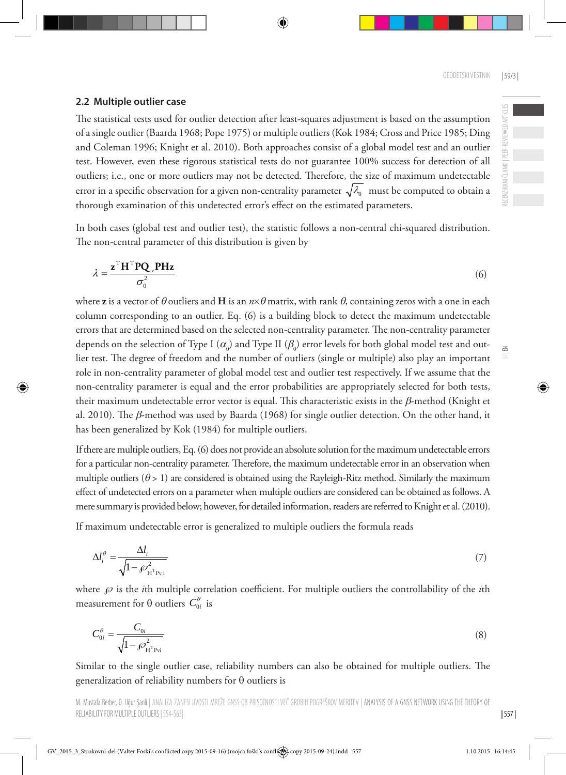RECENZIRANI ČLANKI | PEER-REVIEWED ARTICLES

E CENZIRANI ČLANKI | PEER-REVIEWED ARTICLES

 $\leq$ 

### **2.2 Multiple outlier case**

The statistical tests used for outlier detection after least-squares adjustment is based on the assumption of a single outlier (Baarda 1968; Pope 1975) or multiple outliers (Kok 1984; Cross and Price 1985; Ding and Coleman 1996; Knight et al. 2010). Both approaches consist of a global model test and an outlier test. However, even these rigorous statistical tests do not guarantee 100% success for detection of all outliers; i.e., one or more outliers may not be detected. Therefore, the size of maximum undetectable error in a specific observation for a given non-centrality parameter  $\sqrt{\lambda_0}$  must be computed to obtain a thorough examination of this undetected error's effect on the estimated parameters.

In both cases (global test and outlier test), the statistic follows a non-central chi-squared distribution. The non-central parameter of this distribution is given by

$$
\lambda = \frac{\mathbf{z}^{\mathrm{T}} \mathbf{H}^{\mathrm{T}} \mathbf{P} \mathbf{Q}_{\mathrm{v}} \mathbf{P} \mathbf{H} \mathbf{z}}{\sigma_0^2} \tag{6}
$$

where **z** is a vector of  $\theta$  outliers and **H** is an  $n \times \theta$  matrix, with rank  $\theta$ , containing zeros with a one in each column corresponding to an outlier. Eq. (6) is a building block to detect the maximum undetectable errors that are determined based on the selected non-centrality parameter. The non-centrality parameter depends on the selection of Type I ( $\alpha_{\!_0}$ ) and Type II ( $\beta_{\!_0}$ ) error levels for both global model test and outlier test. The degree of freedom and the number of outliers (single or multiple) also play an important role in non-centrality parameter of global model test and outlier test respectively. If we assume that the non-centrality parameter is equal and the error probabilities are appropriately selected for both tests, their maximum undetectable error vector is equal. This characteristic exists in the β-method (Knight et al. 2010). The β-method was used by Baarda (1968) for single outlier detection. On the other hand, it has been generalized by Kok (1984) for multiple outliers.

If there are multiple outliers, Eq. (6) does not provide an absolute solution for the maximum undetectable errors for a particular non-centrality parameter. Therefore, the maximum undetectable error in an observation when multiple outliers  $(\theta > 1)$  are considered is obtained using the Rayleigh-Ritz method. Similarly the maximum effect of undetected errors on a parameter when multiple outliers are considered can be obtained as follows. A mere summary is provided below; however, for detailed information, readers are referred to Knight et al. (2010).

If maximum undetectable error is generalized to multiple outliers the formula reads

$$
\Delta l_i^{\theta} = \frac{\Delta l_i}{\sqrt{1 - \mathcal{L}_{\text{HT}_{\text{Pyi}}^2}}}
$$
(7)

where  $\wp$  is the *i*th multiple correlation coefficient. For multiple outliers the controllability of the *i*th measurement for  $\theta$  outliers  $C_{0i}^{\theta}$  is

$$
C_{0i}^{\theta} = \frac{C_{0i}}{\sqrt{1 - \mathscr{P}_{\text{H}^{\text{T}}\text{Pvi}}^2}}
$$
\n(8)

Similar to the single outlier case, reliability numbers can also be obtained for multiple outliers. The generalization of reliability numbers for θ outliers is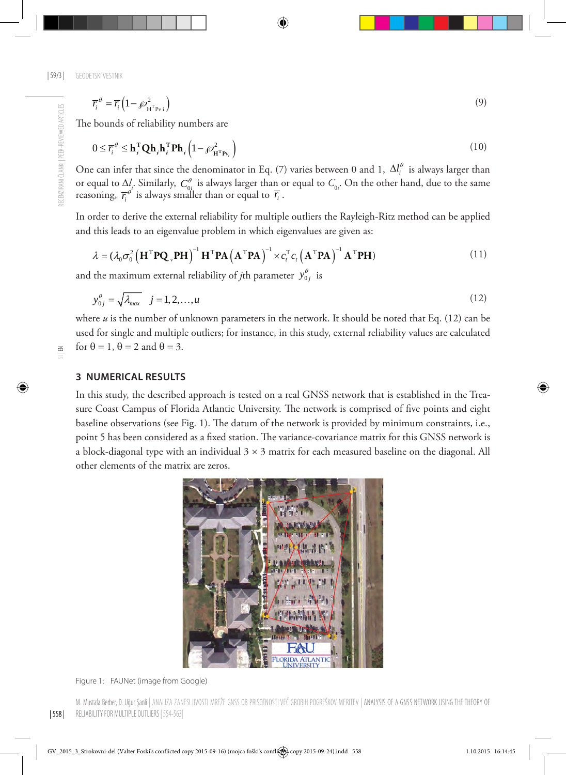| 59/3 | GEODETSKI VESTNIK

$$
\overline{r_i}^{\theta} = \overline{r_i} \left( 1 - \mathcal{P}_{H^T P_{\nu i}}^2 \right)
$$
\n<sup>(9)</sup>

The bounds of reliability numbers are

$$
0 \leq \overline{r}_i^{\theta} \leq \mathbf{h}_i^{\mathrm{T}} \mathbf{Q} \mathbf{h}_i \mathbf{h}_i^{\mathrm{T}} \mathbf{P} \mathbf{h}_i \left( 1 - \rho_{\mathbf{H}^{\mathrm{T}} \mathbf{P} v_i}^2 \right)
$$
(10)

One can infer that since the denominator in Eq. (7) varies between 0 and 1,  $\Delta l_i^{\theta}$  is always larger than or equal to  $\Delta l_i$ . Similarly,  $C_{0i}^{\theta}$  is always larger than or equal to  $C_{0i}$ . On the other hand, due to the same reasoning,  $\overline{r_i}^{\theta}$  is always smaller than or equal to  $\overline{r_i}$ .

In order to derive the external reliability for multiple outliers the Rayleigh-Ritz method can be applied and this leads to an eigenvalue problem in which eigenvalues are given as:

$$
\lambda = (\lambda_0 \sigma_0^2 \left( \mathbf{H}^{\mathrm{T}} \mathbf{P} \mathbf{Q}_{\mathrm{v}} \mathbf{P} \mathbf{H} \right)^{-1} \mathbf{H}^{\mathrm{T}} \mathbf{P} \mathbf{A} \left( \mathbf{A}^{\mathrm{T}} \mathbf{P} \mathbf{A} \right)^{-1} \times c_t^{\mathrm{T}} c_t \left( \mathbf{A}^{\mathrm{T}} \mathbf{P} \mathbf{A} \right)^{-1} \mathbf{A}^{\mathrm{T}} \mathbf{P} \mathbf{H})
$$
(11)

and the maximum external reliability of *j*th parameter  $y_{0i}^{\theta}$  is

$$
y_{0j}^{\theta} = \sqrt{\lambda_{max}} \quad j = 1, 2, \dots, u \tag{12}
$$

where *u* is the number of unknown parameters in the network. It should be noted that Eq. (12) can be used for single and multiple outliers; for instance, in this study, external reliability values are calculated for  $\theta = 1$ ,  $\theta = 2$  and  $\theta = 3$ .

#### **3 Numerical results**

In this study, the described approach is tested on a real GNSS network that is established in the Treasure Coast Campus of Florida Atlantic University. The network is comprised of five points and eight baseline observations (see Fig. 1). The datum of the network is provided by minimum constraints, i.e., point 5 has been considered as a fixed station. The variance-covariance matrix for this GNSS network is a block-diagonal type with an individual  $3 \times 3$  matrix for each measured baseline on the diagonal. All other elements of the matrix are zeros.



Figure 1: FAUNet (image from Google)

RECENZIRANI ČLANKI | PEER-REVIEWED ARTICLES RECENZIRANI ČLANKI | PEER-REVIEWED ARTICLES

| 558 | M. Mustafa Berber, D. Uğur Şanli | Analiza zanesljivosti mreže GNSS ob prisotnosti več grobih pogreškov meritev | Analysis of a GNSS network using the theory of reliability for multiple outliers | 554-563|

 $\leq$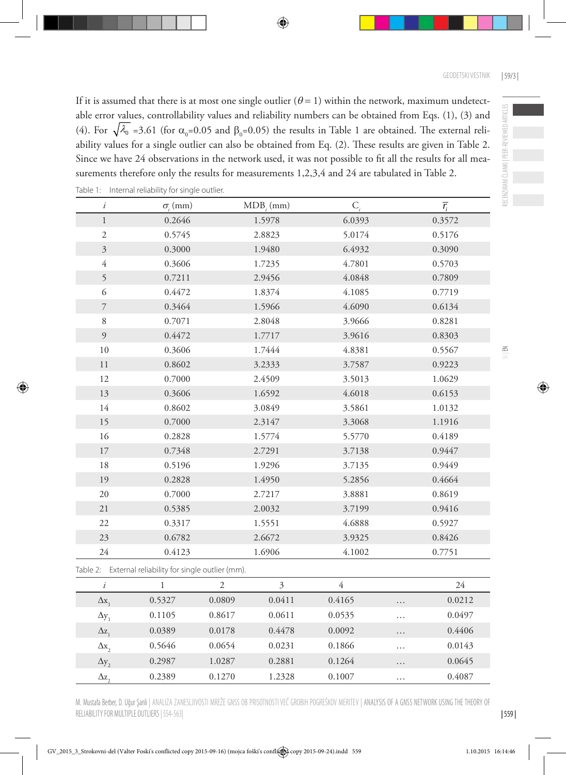If it is assumed that there is at most one single outlier ( $\theta = 1$ ) within the network, maximum undetectable error values, controllability values and reliability numbers can be obtained from Eqs. (1), (3) and (4). For  $\sqrt{\lambda_0}$  =3.61 (for  $\alpha_0$ =0.05 and  $\beta_0$ =0.05) the results in Table 1 are obtained. The external reliability values for a single outlier can also be obtained from Eq. (2). These results are given in Table 2. Since we have 24 observations in the network used, it was not possible to fit all the results for all measurements therefore only the results for measurements 1,2,3,4 and 24 are tabulated in Table 2.

| $\dot{i}$                | $\sigma$ <sub>i</sub> (mm)                             |                | $MDB$ <sub>i</sub> $(mm)$ | $C_i$          |          | $\overline{r_i}$ |
|--------------------------|--------------------------------------------------------|----------------|---------------------------|----------------|----------|------------------|
| $\,1\,$                  | 0.2646                                                 |                | 1.5978                    | 6.0393         |          | 0.3572           |
| $\sqrt{2}$               | 0.5745                                                 |                | 2.8823                    | 5.0174         |          | 0.5176           |
| $\overline{3}$           | 0.3000                                                 |                | 1.9480                    | 6.4932         |          | 0.3090           |
| $\overline{4}$           | 0.3606                                                 |                | 1.7235                    | 4.7801         |          | 0.5703           |
| 5                        | 0.7211                                                 |                | 2.9456                    | 4.0848         |          | 0.7809           |
| 6                        | 0.4472                                                 |                | 1.8374                    | 4.1085         |          | 0.7719           |
| $\overline{\phantom{a}}$ | 0.3464                                                 |                | 1.5966                    | 4.6090         |          | 0.6134           |
| $8\,$                    | 0.7071                                                 |                | 2.8048                    | 3.9666         |          | 0.8281           |
| 9                        | 0.4472                                                 |                | 1.7717                    | 3.9616         |          | 0.8303           |
| $10\,$                   | 0.3606                                                 |                | 1.7444                    | 4.8381         |          | 0.5567           |
| $1\,1$                   | 0.8602                                                 |                | 3.2333                    | 3.7587         |          | 0.9223           |
| 12                       | 0.7000                                                 |                | 2.4509                    | 3.5013         |          | 1.0629           |
| 13                       | 0.3606                                                 |                | 1.6592                    | 4.6018         |          | 0.6153           |
| 14                       | 0.8602                                                 |                | 3.0849                    | 3.5861         |          | 1.0132           |
| 15                       | 0.7000                                                 |                | 2.3147                    | 3.3068         |          | 1.1916           |
| 16                       | 0.2828                                                 |                | 1.5774                    | 5.5770         |          | 0.4189           |
| $17\,$                   | 0.7348                                                 |                | 2.7291                    | 3.7138         |          | 0.9447           |
| 18                       | 0.5196                                                 |                | 1.9296                    | 3.7135         |          | 0.9449           |
| 19                       | 0.2828                                                 |                | 1.4950                    | 5.2856         |          | 0.4664           |
| 20                       | 0.7000                                                 |                | 2.7217                    | 3.8881         |          | 0.8619           |
| 21                       | 0.5385                                                 |                | 2.0032                    | 3.7199         |          | 0.9416           |
| 22                       | 0.3317                                                 |                | 1.5551                    | 4.6888         |          | 0.5927           |
| 23                       | 0.6782                                                 |                | 2.6672                    | 3.9325         |          | 0.8426           |
| 24                       | 0.4123                                                 |                | 1.6906                    | 4.1002         |          | 0.7751           |
|                          | Table 2: External reliability for single outlier (mm). |                |                           |                |          |                  |
| $\boldsymbol{i}$         | $\,1\,$                                                | $\mathfrak{2}$ | $\mathfrak{Z}$            | $\overline{4}$ |          | 24               |
| $\Delta x_1$             | 0.5327                                                 | 0.0809         | 0.0411                    | 0.4165         | .        | 0.0212           |
| $\Delta y_1$             | 0.1105                                                 | 0.8617         | 0.0611                    | 0.0535         | $\cdots$ | 0.0497           |
| $\Delta z$               | 0.0389                                                 | 0.0178         | 0.4478                    | 0.0092         | .        | 0.4406           |
| $\Delta x,$              | 0.5646                                                 | 0.0654         | 0.0231                    | 0.1866         | .        | 0.0143           |
| $\Delta y$ ,             | 0.2987                                                 | 1.0287         | 0.2881                    | 0.1264         | .        | 0.0645           |
|                          |                                                        |                |                           |                |          |                  |

|  |  | Table 1: Internal reliability for single outlier. |  |  |
|--|--|---------------------------------------------------|--|--|
|--|--|---------------------------------------------------|--|--|

M. Mustafa Berber, D. Uğur Şanli | Analiza zanesljivosti mreže GNSS ob prisotnosti več grobih pogreškov meritev | Analysis of a GNSS network using the theory of reliability for multiple outliers | 554-563|

 $\Delta z_2$  0.2389 0.1270 1.2328 0.1007 … 0.4087

RECENZIRANI ČLANKI | PEER-REVIEWED ARTICLES

RECENZIRANI ČLANKI | PEER-REVIEWED ARTICLES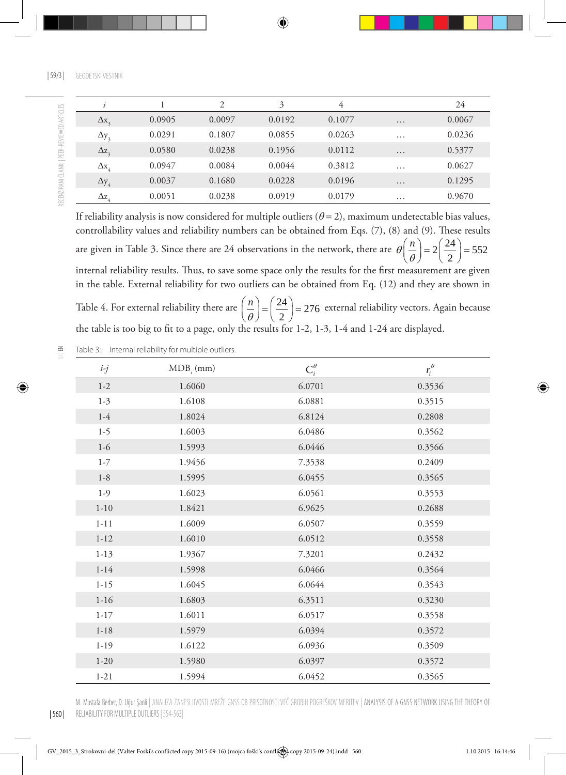|                         |        | $\mathcal{D}$ | 3      | 4      |          | 24     |
|-------------------------|--------|---------------|--------|--------|----------|--------|
| $\Delta x$ <sub>2</sub> | 0.0905 | 0.0097        | 0.0192 | 0.1077 | $\cdots$ | 0.0067 |
| $\Delta y_3$            | 0.0291 | 0.1807        | 0.0855 | 0.0263 | .        | 0.0236 |
| $\Delta z$ <sub>2</sub> | 0.0580 | 0.0238        | 0.1956 | 0.0112 | .        | 0.5377 |
| $\Delta$ x <sub>4</sub> | 0.0947 | 0.0084        | 0.0044 | 0.3812 | $\cdots$ | 0.0627 |
| $\Delta y_4$            | 0.0037 | 0.1680        | 0.0228 | 0.0196 | .        | 0.1295 |
| $\Delta z_{4}$          | 0.0051 | 0.0238        | 0.0919 | 0.0179 | $\cdots$ | 0.9670 |

If reliability analysis is now considered for multiple outliers  $(\theta = 2)$ , maximum undetectable bias values, controllability values and reliability numbers can be obtained from Eqs. (7), (8) and (9). These results are given in Table 3. Since there are 24 observations in the network, there are  $\theta\left(\frac{n}{\theta}\right) = 2\left(\frac{24}{2}\right) = 552$  $\theta\left(\frac{n}{\theta}\right) = 2\left(\frac{24}{2}\right) =$ internal reliability results. Thus, to save some space only the results for the first measurement are given in the table. External reliability for two outliers can be obtained from Eq. (12) and they are shown in *n*

Table 4. For external reliability there are  $\left(\frac{n}{\theta}\right) = \left(\frac{24}{2}\right) = 276$  $\left(\frac{n}{\theta}\right) = \left(\frac{24}{2}\right) = 276$  external reliability vectors. Again because the table is too big to fit to a page, only the results for 1-2, 1-3, 1-4 and 1-24 are displayed.

 $\leq$ Table 3: Internal reliability for multiple outliers.

| $i-j$    | $MDB$ <sub><i>i</i></sub> $(mm)$ | $C_i^{\theta}$ | $r_i^{\theta}$ |
|----------|----------------------------------|----------------|----------------|
| $1 - 2$  | 1.6060                           | 6.0701         | 0.3536         |
| $1 - 3$  | 1.6108                           | 6.0881         | 0.3515         |
| $1-4$    | 1.8024                           | 6.8124         | 0.2808         |
| $1-5$    | 1.6003                           | 6.0486         | 0.3562         |
| $1-6$    | 1.5993                           | 6.0446         | 0.3566         |
| $1 - 7$  | 1.9456                           | 7.3538         | 0.2409         |
| $1 - 8$  | 1.5995                           | 6.0455         | 0.3565         |
| $1-9$    | 1.6023                           | 6.0561         | 0.3553         |
| $1 - 10$ | 1.8421                           | 6.9625         | 0.2688         |
| $1 - 11$ | 1.6009                           | 6.0507         | 0.3559         |
| $1 - 12$ | 1.6010                           | 6.0512         | 0.3558         |
| $1 - 13$ | 1.9367                           | 7.3201         | 0.2432         |
| $1 - 14$ | 1.5998                           | 6.0466         | 0.3564         |
| $1 - 15$ | 1.6045                           | 6.0644         | 0.3543         |
| $1 - 16$ | 1.6803                           | 6.3511         | 0.3230         |
| $1 - 17$ | 1.6011                           | 6.0517         | 0.3558         |
| $1 - 18$ | 1.5979                           | 6.0394         | 0.3572         |
| $1 - 19$ | 1.6122                           | 6.0936         | 0.3509         |
| $1 - 20$ | 1.5980                           | 6.0397         | 0.3572         |
| $1 - 21$ | 1.5994                           | 6.0452         | 0.3565         |

M. Mustafa Berber, D. Uğur Şanli | Analiza zanesljivosti mreže GNSS ob prisotnosti več grobih pogreškov meritev | Analysis of a GNSS network using the theory of reliability for multiple outliers | 554-563|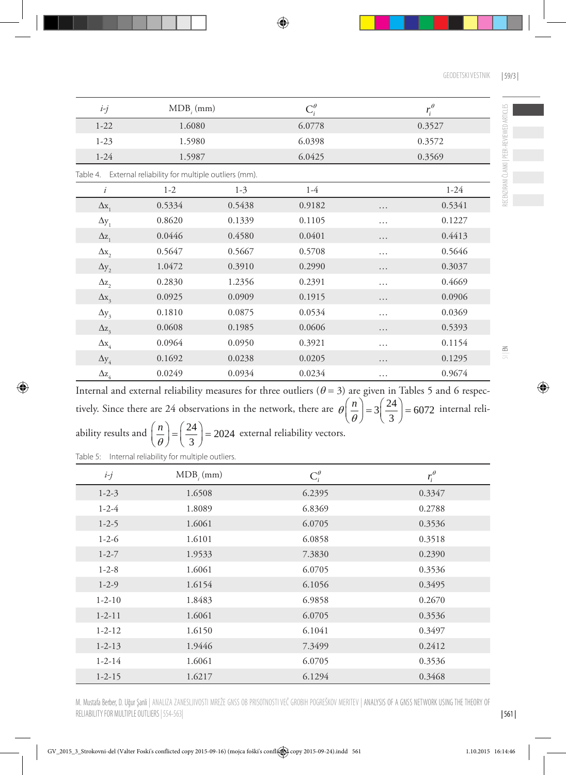| $i-j$                      | $MDB_{i}$ (mm)                                   |         | $C_i^{\theta}$ |   | $r_i^{\theta}$ |
|----------------------------|--------------------------------------------------|---------|----------------|---|----------------|
| $1 - 22$                   | 1.6080                                           |         | 6.0778         |   | 0.3527         |
| $1 - 23$                   | 1.5980                                           |         | 6.0398         |   | 0.3572         |
| $1 - 24$                   | 1.5987                                           |         | 6.0425         |   | 0.3569         |
| Table 4.                   | External reliability for multiple outliers (mm). |         |                |   |                |
| i                          | $1 - 2$                                          | $1 - 3$ | $1-4$          |   | $1 - 24$       |
| $\Delta x$                 | 0.5334                                           | 0.5438  | 0.9182         | . | 0.5341         |
| $\Delta y_1$               | 0.8620                                           | 0.1339  | 0.1105         | . | 0.1227         |
| $\Delta z$                 | 0.0446                                           | 0.4580  | 0.0401         | . | 0.4413         |
| $\Delta \mathbf{x}_2$      | 0.5647                                           | 0.5667  | 0.5708         | . | 0.5646         |
| $\Delta y$ <sub>2</sub>    | 1.0472                                           | 0.3910  | 0.2990         | . | 0.3037         |
| $\Delta z$ <sub>2</sub>    | 0.2830                                           | 1.2356  | 0.2391         | . | 0.4669         |
| $\Delta x$ <sub>3</sub>    | 0.0925                                           | 0.0909  | 0.1915         | . | 0.0906         |
| $\Delta y_3$               | 0.1810                                           | 0.0875  | 0.0534         | . | 0.0369         |
| $\Delta z$ <sub>3</sub>    | 0.0608                                           | 0.1985  | 0.0606         | . | 0.5393         |
| $\Delta \mathbf{x}_4$      | 0.0964                                           | 0.0950  | 0.3921         | . | 0.1154         |
| $\Delta y_4$               | 0.1692                                           | 0.0238  | 0.0205         | . | 0.1295         |
| $\Delta z_{\underline{4}}$ | 0.0249                                           | 0.0934  | 0.0234         | . | 0.9674         |

Internal and external reliability measures for three outliers ( $\theta$  = 3) are given in Tables 5 and 6 respectively. Since there are 24 observations in the network, there are  $\theta\left(\frac{n}{\theta}\right) = 3\left(\frac{24}{3}\right) = 6072$  $\theta\left(\frac{n}{\theta}\right) = 3\left(\frac{24}{3}\right) = 6072$  internal reli-

ability results and  $\left(\frac{n}{\theta}\right) = \left(\frac{24}{3}\right) = 2024$ *n*  $\left(\frac{n}{\theta}\right) = \left(\frac{24}{3}\right) = 2024$  external reliability vectors.

Table 5: Internal reliability for multiple outliers.

| $i-j$        | $MDB$ <sub>i</sub> $(mm)$ | $C_i^{\theta}$ | $r_i^{\theta}$ |
|--------------|---------------------------|----------------|----------------|
| $1 - 2 - 3$  | 1.6508                    | 6.2395         | 0.3347         |
| $1 - 2 - 4$  | 1.8089                    | 6.8369         | 0.2788         |
| $1 - 2 - 5$  | 1.6061                    | 6.0705         | 0.3536         |
| $1 - 2 - 6$  | 1.6101                    | 6.0858         | 0.3518         |
| $1 - 2 - 7$  | 1.9533                    | 7.3830         | 0.2390         |
| $1 - 2 - 8$  | 1.6061                    | 6.0705         | 0.3536         |
| $1 - 2 - 9$  | 1.6154                    | 6.1056         | 0.3495         |
| $1 - 2 - 10$ | 1.8483                    | 6.9858         | 0.2670         |
| $1 - 2 - 11$ | 1.6061                    | 6.0705         | 0.3536         |
| $1 - 2 - 12$ | 1.6150                    | 6.1041         | 0.3497         |
| $1 - 2 - 13$ | 1.9446                    | 7.3499         | 0.2412         |
| $1 - 2 - 14$ | 1.6061                    | 6.0705         | 0.3536         |
| $1 - 2 - 15$ | 1.6217                    | 6.1294         | 0.3468         |

RECENZIRANI ČLANKI | PEER-REVIEWED ARTICLES RECENZIRANI ČLANKI | PEER-REVIEWED ARTICLES

M. Mustafa Berber, D. Uğur Şanli | Analiza zanesljivosti mreže GNSS ob prisotnosti več grobih pogreškov meritev | Analysis of a GNSS network using the theory of reliability for multiple outliers | 554-563|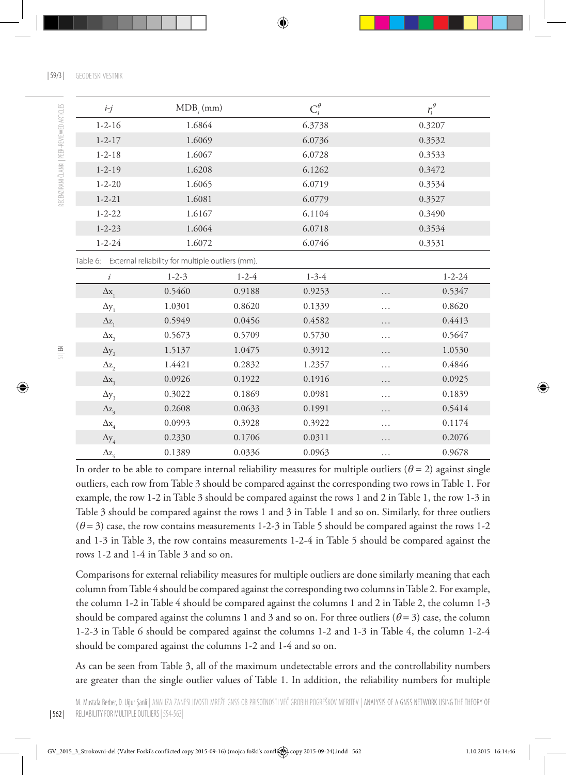| 59/3 | GEODETSKI VESTNIK

| $i-j$                   | $MDB$ <sub><i>i</i></sub> $(mm)$                          |             | $C_i^{\theta}$ |        | $r_i^\theta$ |
|-------------------------|-----------------------------------------------------------|-------------|----------------|--------|--------------|
| $1 - 2 - 16$            | 1.6864                                                    |             | 6.3738         |        | 0.3207       |
| $1 - 2 - 17$            | 1.6069                                                    |             | 6.0736         |        | 0.3532       |
| $1 - 2 - 18$            | 1.6067                                                    |             | 6.0728         |        | 0.3533       |
| $1 - 2 - 19$            | 1.6208                                                    |             | 6.1262         |        | 0.3472       |
| $1 - 2 - 20$            | 1.6065                                                    |             | 6.0719         |        | 0.3534       |
| $1 - 2 - 21$            | 1.6081                                                    |             | 6.0779         |        | 0.3527       |
| $1 - 2 - 22$            | 1.6167                                                    |             | 6.1104         |        | 0.3490       |
| $1 - 2 - 23$            | 1.6064                                                    |             | 6.0718         | 0.3534 |              |
| $1 - 2 - 24$            | 1.6072                                                    |             | 6.0746         | 0.3531 |              |
|                         | Table 6: External reliability for multiple outliers (mm). |             |                |        |              |
| i                       | $1 - 2 - 3$                                               | $1 - 2 - 4$ | $1 - 3 - 4$    |        | $1 - 2 - 24$ |
| $\Delta x_1$            | 0.5460                                                    | 0.9188      | 0.9253         | .      | 0.5347       |
| $\Delta y_1$            | 1.0301                                                    | 0.8620      | 0.1339         | .      | 0.8620       |
| $\Delta z$              | 0.5949                                                    | 0.0456      | 0.4582         | .      | 0.4413       |
| $\Delta x$              | 0.5673                                                    | 0.5709      | 0.5730         | .      | 0.5647       |
| $\Delta y$ <sub>2</sub> | 1.5137                                                    | 1.0475      | 0.3912         | .      | 1.0530       |
| $\Delta z$ ,            | 1.4421                                                    | 0.2832      | 1.2357         | .      | 0.4846       |
| $\Delta x$ <sub>3</sub> | 0.0926                                                    | 0.1922      | 0.1916         | .      | 0.0925       |
| $\Delta y_3$            | 0.3022                                                    | 0.1869      | 0.0981         | .      | 0.1839       |
| $\Delta z$ <sub>3</sub> | 0.2608                                                    | 0.0633      | 0.1991         | .      | 0.5414       |
| $\Delta$ x <sub>4</sub> | 0.0993                                                    | 0.3928      | 0.3922         | .      | 0.1174       |

In order to be able to compare internal reliability measures for multiple outliers ( $\theta = 2$ ) against single outliers, each row from Table 3 should be compared against the corresponding two rows in Table 1. For example, the row 1-2 in Table 3 should be compared against the rows 1 and 2 in Table 1, the row 1-3 in Table 3 should be compared against the rows 1 and 3 in Table 1 and so on. Similarly, for three outliers  $(\theta = 3)$  case, the row contains measurements 1-2-3 in Table 5 should be compared against the rows 1-2 and 1-3 in Table 3, the row contains measurements 1-2-4 in Table 5 should be compared against the rows 1-2 and 1-4 in Table 3 and so on.

 $\Delta y_4$  0.2330 0.1706 0.0311 … 0.2076  $\Delta z_4$  0.1389 0.0336 0.0963 … 0.9678

Comparisons for external reliability measures for multiple outliers are done similarly meaning that each column from Table 4 should be compared against the corresponding two columns in Table 2. For example, the column 1-2 in Table 4 should be compared against the columns 1 and 2 in Table 2, the column 1-3 should be compared against the columns 1 and 3 and so on. For three outliers ( $\theta = 3$ ) case, the column 1-2-3 in Table 6 should be compared against the columns 1-2 and 1-3 in Table 4, the column 1-2-4 should be compared against the columns 1-2 and 1-4 and so on.

As can be seen from Table 3, all of the maximum undetectable errors and the controllability numbers are greater than the single outlier values of Table 1. In addition, the reliability numbers for multiple